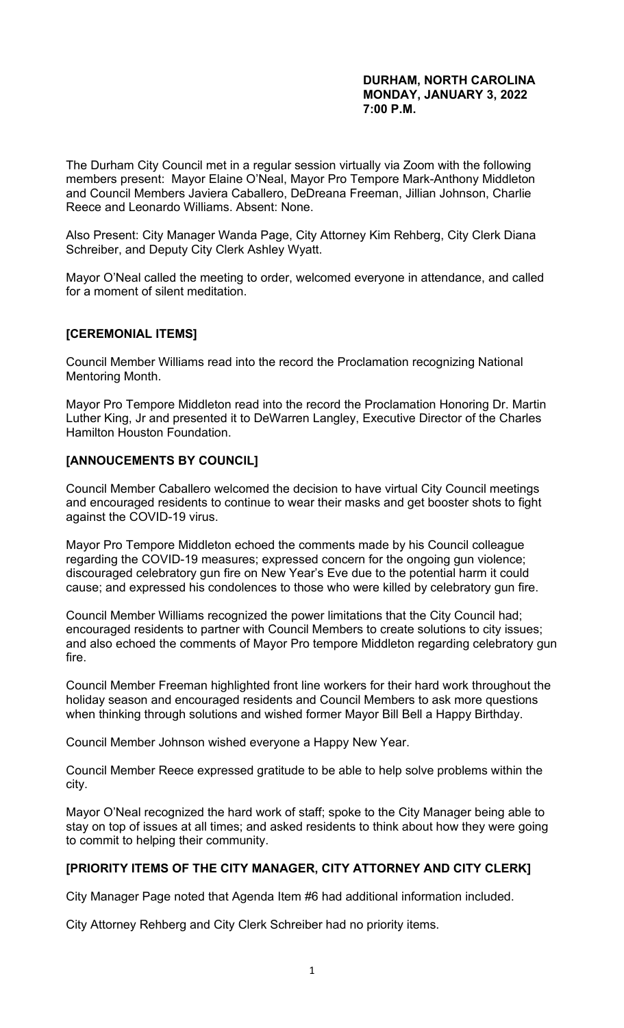#### **DURHAM, NORTH CAROLINA MONDAY, JANUARY 3, 2022 7:00 P.M.**

The Durham City Council met in a regular session virtually via Zoom with the following members present: Mayor Elaine O'Neal, Mayor Pro Tempore Mark-Anthony Middleton and Council Members Javiera Caballero, DeDreana Freeman, Jillian Johnson, Charlie Reece and Leonardo Williams. Absent: None.

Also Present: City Manager Wanda Page, City Attorney Kim Rehberg, City Clerk Diana Schreiber, and Deputy City Clerk Ashley Wyatt.

Mayor O'Neal called the meeting to order, welcomed everyone in attendance, and called for a moment of silent meditation.

### **[CEREMONIAL ITEMS]**

Council Member Williams read into the record the Proclamation recognizing National Mentoring Month.

Mayor Pro Tempore Middleton read into the record the Proclamation Honoring Dr. Martin Luther King, Jr and presented it to DeWarren Langley, Executive Director of the Charles Hamilton Houston Foundation.

### **[ANNOUCEMENTS BY COUNCIL]**

Council Member Caballero welcomed the decision to have virtual City Council meetings and encouraged residents to continue to wear their masks and get booster shots to fight against the COVID-19 virus.

Mayor Pro Tempore Middleton echoed the comments made by his Council colleague regarding the COVID-19 measures; expressed concern for the ongoing gun violence; discouraged celebratory gun fire on New Year's Eve due to the potential harm it could cause; and expressed his condolences to those who were killed by celebratory gun fire.

Council Member Williams recognized the power limitations that the City Council had; encouraged residents to partner with Council Members to create solutions to city issues; and also echoed the comments of Mayor Pro tempore Middleton regarding celebratory gun fire.

Council Member Freeman highlighted front line workers for their hard work throughout the holiday season and encouraged residents and Council Members to ask more questions when thinking through solutions and wished former Mayor Bill Bell a Happy Birthday.

Council Member Johnson wished everyone a Happy New Year.

Council Member Reece expressed gratitude to be able to help solve problems within the city.

Mayor O'Neal recognized the hard work of staff; spoke to the City Manager being able to stay on top of issues at all times; and asked residents to think about how they were going to commit to helping their community.

# **[PRIORITY ITEMS OF THE CITY MANAGER, CITY ATTORNEY AND CITY CLERK]**

City Manager Page noted that Agenda Item #6 had additional information included.

City Attorney Rehberg and City Clerk Schreiber had no priority items.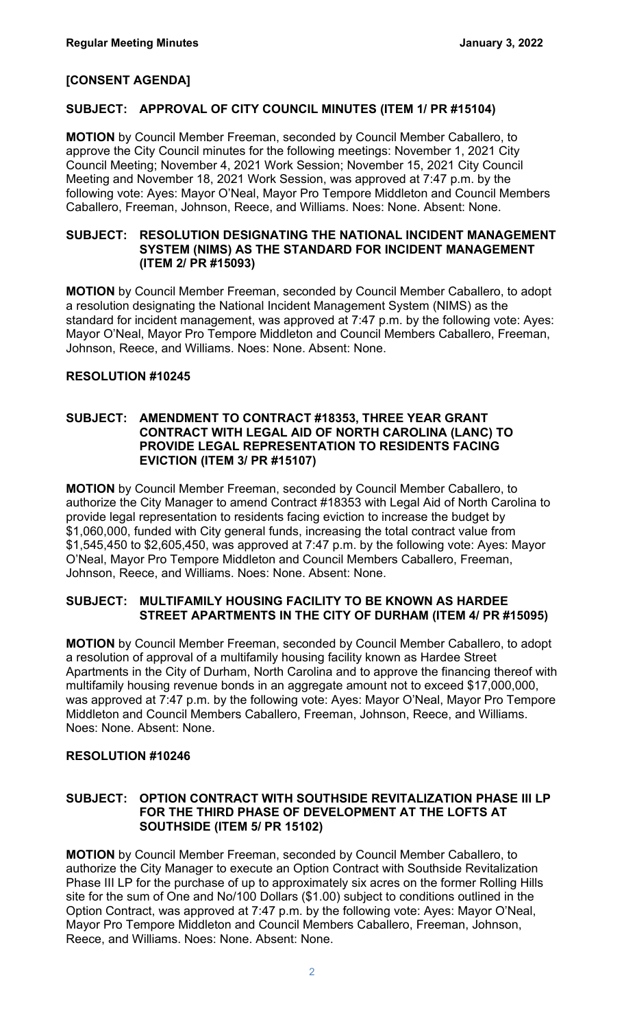### **[CONSENT AGENDA]**

#### **SUBJECT: APPROVAL OF CITY COUNCIL MINUTES (ITEM 1/ PR #15104)**

**MOTION** by Council Member Freeman, seconded by Council Member Caballero, to approve the City Council minutes for the following meetings: November 1, 2021 City Council Meeting; November 4, 2021 Work Session; November 15, 2021 City Council Meeting and November 18, 2021 Work Session, was approved at 7:47 p.m. by the following vote: Ayes: Mayor O'Neal, Mayor Pro Tempore Middleton and Council Members Caballero, Freeman, Johnson, Reece, and Williams. Noes: None. Absent: None.

#### **SUBJECT: RESOLUTION DESIGNATING THE NATIONAL INCIDENT MANAGEMENT SYSTEM (NIMS) AS THE STANDARD FOR INCIDENT MANAGEMENT (ITEM 2/ PR #15093)**

**MOTION** by Council Member Freeman, seconded by Council Member Caballero, to adopt a resolution designating the National Incident Management System (NIMS) as the standard for incident management, was approved at 7:47 p.m. by the following vote: Ayes: Mayor O'Neal, Mayor Pro Tempore Middleton and Council Members Caballero, Freeman, Johnson, Reece, and Williams. Noes: None. Absent: None.

### **RESOLUTION #10245**

#### **SUBJECT: AMENDMENT TO CONTRACT #18353, THREE YEAR GRANT CONTRACT WITH LEGAL AID OF NORTH CAROLINA (LANC) TO PROVIDE LEGAL REPRESENTATION TO RESIDENTS FACING EVICTION (ITEM 3/ PR #15107)**

**MOTION** by Council Member Freeman, seconded by Council Member Caballero, to authorize the City Manager to amend Contract #18353 with Legal Aid of North Carolina to provide legal representation to residents facing eviction to increase the budget by \$1,060,000, funded with City general funds, increasing the total contract value from \$1,545,450 to \$2,605,450, was approved at 7:47 p.m. by the following vote: Ayes: Mayor O'Neal, Mayor Pro Tempore Middleton and Council Members Caballero, Freeman, Johnson, Reece, and Williams. Noes: None. Absent: None.

### **SUBJECT: MULTIFAMILY HOUSING FACILITY TO BE KNOWN AS HARDEE STREET APARTMENTS IN THE CITY OF DURHAM (ITEM 4/ PR #15095)**

**MOTION** by Council Member Freeman, seconded by Council Member Caballero, to adopt a resolution of approval of a multifamily housing facility known as Hardee Street Apartments in the City of Durham, North Carolina and to approve the financing thereof with multifamily housing revenue bonds in an aggregate amount not to exceed \$17,000,000, was approved at 7:47 p.m. by the following vote: Ayes: Mayor O'Neal, Mayor Pro Tempore Middleton and Council Members Caballero, Freeman, Johnson, Reece, and Williams. Noes: None. Absent: None.

#### **RESOLUTION #10246**

#### **SUBJECT: OPTION CONTRACT WITH SOUTHSIDE REVITALIZATION PHASE III LP FOR THE THIRD PHASE OF DEVELOPMENT AT THE LOFTS AT SOUTHSIDE (ITEM 5/ PR 15102)**

**MOTION** by Council Member Freeman, seconded by Council Member Caballero, to authorize the City Manager to execute an Option Contract with Southside Revitalization Phase III LP for the purchase of up to approximately six acres on the former Rolling Hills site for the sum of One and No/100 Dollars (\$1.00) subject to conditions outlined in the Option Contract, was approved at 7:47 p.m. by the following vote: Ayes: Mayor O'Neal, Mayor Pro Tempore Middleton and Council Members Caballero, Freeman, Johnson, Reece, and Williams. Noes: None. Absent: None.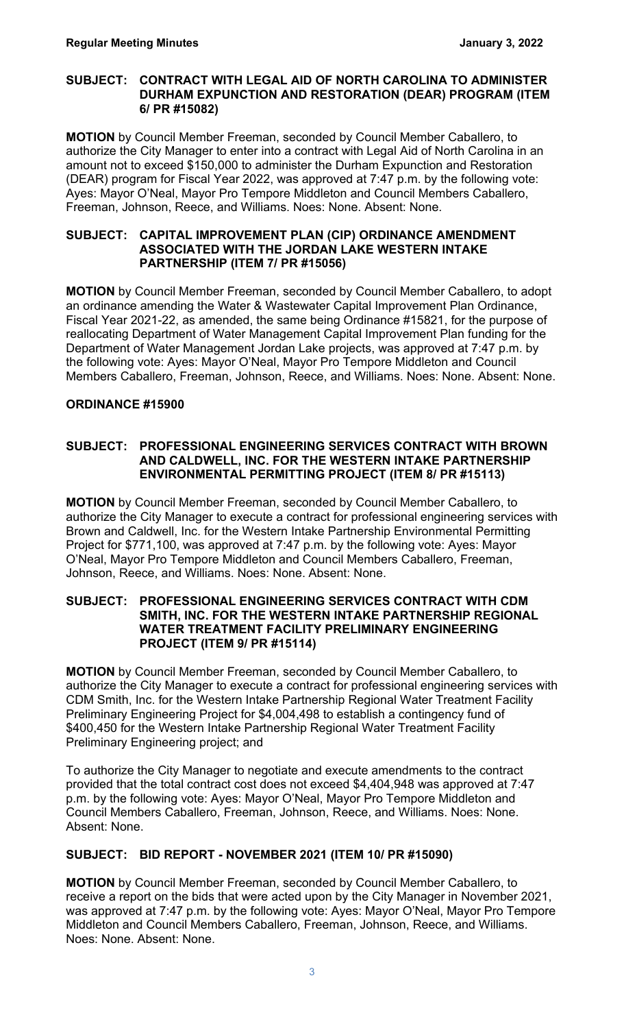#### **SUBJECT: CONTRACT WITH LEGAL AID OF NORTH CAROLINA TO ADMINISTER DURHAM EXPUNCTION AND RESTORATION (DEAR) PROGRAM (ITEM 6/ PR #15082)**

**MOTION** by Council Member Freeman, seconded by Council Member Caballero, to authorize the City Manager to enter into a contract with Legal Aid of North Carolina in an amount not to exceed \$150,000 to administer the Durham Expunction and Restoration (DEAR) program for Fiscal Year 2022, was approved at 7:47 p.m. by the following vote: Ayes: Mayor O'Neal, Mayor Pro Tempore Middleton and Council Members Caballero, Freeman, Johnson, Reece, and Williams. Noes: None. Absent: None.

#### **SUBJECT: CAPITAL IMPROVEMENT PLAN (CIP) ORDINANCE AMENDMENT ASSOCIATED WITH THE JORDAN LAKE WESTERN INTAKE PARTNERSHIP (ITEM 7/ PR #15056)**

**MOTION** by Council Member Freeman, seconded by Council Member Caballero, to adopt an ordinance amending the Water & Wastewater Capital Improvement Plan Ordinance, Fiscal Year 2021-22, as amended, the same being Ordinance #15821, for the purpose of reallocating Department of Water Management Capital Improvement Plan funding for the Department of Water Management Jordan Lake projects, was approved at 7:47 p.m. by the following vote: Ayes: Mayor O'Neal, Mayor Pro Tempore Middleton and Council Members Caballero, Freeman, Johnson, Reece, and Williams. Noes: None. Absent: None.

# **ORDINANCE #15900**

# **SUBJECT: PROFESSIONAL ENGINEERING SERVICES CONTRACT WITH BROWN AND CALDWELL, INC. FOR THE WESTERN INTAKE PARTNERSHIP ENVIRONMENTAL PERMITTING PROJECT (ITEM 8/ PR #15113)**

**MOTION** by Council Member Freeman, seconded by Council Member Caballero, to authorize the City Manager to execute a contract for professional engineering services with Brown and Caldwell, Inc. for the Western Intake Partnership Environmental Permitting Project for \$771,100, was approved at 7:47 p.m. by the following vote: Ayes: Mayor O'Neal, Mayor Pro Tempore Middleton and Council Members Caballero, Freeman, Johnson, Reece, and Williams. Noes: None. Absent: None.

#### **SUBJECT: PROFESSIONAL ENGINEERING SERVICES CONTRACT WITH CDM SMITH, INC. FOR THE WESTERN INTAKE PARTNERSHIP REGIONAL WATER TREATMENT FACILITY PRELIMINARY ENGINEERING PROJECT (ITEM 9/ PR #15114)**

**MOTION** by Council Member Freeman, seconded by Council Member Caballero, to authorize the City Manager to execute a contract for professional engineering services with CDM Smith, Inc. for the Western Intake Partnership Regional Water Treatment Facility Preliminary Engineering Project for \$4,004,498 to establish a contingency fund of \$400,450 for the Western Intake Partnership Regional Water Treatment Facility Preliminary Engineering project; and

To authorize the City Manager to negotiate and execute amendments to the contract provided that the total contract cost does not exceed \$4,404,948 was approved at 7:47 p.m. by the following vote: Ayes: Mayor O'Neal, Mayor Pro Tempore Middleton and Council Members Caballero, Freeman, Johnson, Reece, and Williams. Noes: None. Absent: None.

# **SUBJECT: BID REPORT - NOVEMBER 2021 (ITEM 10/ PR #15090)**

**MOTION** by Council Member Freeman, seconded by Council Member Caballero, to receive a report on the bids that were acted upon by the City Manager in November 2021, was approved at 7:47 p.m. by the following vote: Ayes: Mayor O'Neal, Mayor Pro Tempore Middleton and Council Members Caballero, Freeman, Johnson, Reece, and Williams. Noes: None. Absent: None.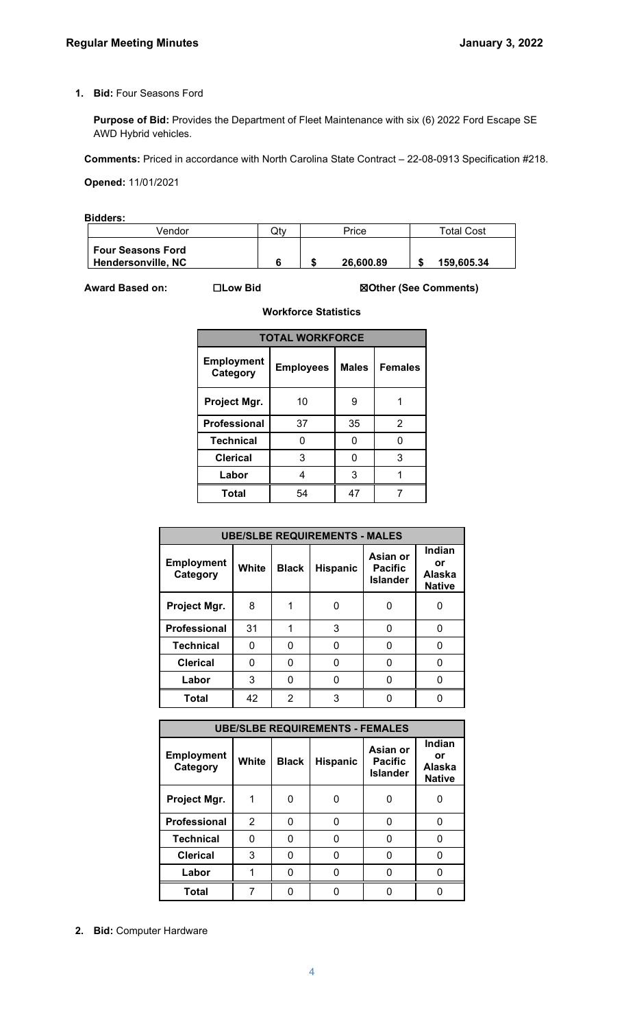#### **1. Bid:** Four Seasons Ford

**Purpose of Bid:** Provides the Department of Fleet Maintenance with six (6) 2022 Ford Escape SE AWD Hybrid vehicles.

**Comments:** Priced in accordance with North Carolina State Contract – 22-08-0913 Specification #218.

**Opened:** 11/01/2021

**Bidders:** 

| Vendor                                                | Qty | Price     | <b>Total Cost</b> |
|-------------------------------------------------------|-----|-----------|-------------------|
| <b>Four Seasons Ford</b><br><b>Hendersonville, NC</b> |     | 26,600.89 | 159,605.34        |

**Award Based on:** ☐**Low Bid** ☒**Other (See Comments)**

| <b>TOTAL WORKFORCE</b>        |                  |              |                |  |  |  |  |
|-------------------------------|------------------|--------------|----------------|--|--|--|--|
| <b>Employment</b><br>Category | <b>Employees</b> | <b>Males</b> | <b>Females</b> |  |  |  |  |
| Project Mgr.                  | 10               | 9            |                |  |  |  |  |
| <b>Professional</b>           | 37               | 35           | 2              |  |  |  |  |
| <b>Technical</b>              | ი                | n            | n              |  |  |  |  |
| <b>Clerical</b>               | 3                | O            | 3              |  |  |  |  |
| Labor                         | 4                | 3            |                |  |  |  |  |
| Total                         | 54               | 47           |                |  |  |  |  |

**Workforce Statistics**

| <b>UBE/SLBE REQUIREMENTS - MALES</b> |       |              |                 |                                               |                                                |  |  |
|--------------------------------------|-------|--------------|-----------------|-----------------------------------------------|------------------------------------------------|--|--|
| <b>Employment</b><br>Category        | White | <b>Black</b> | <b>Hispanic</b> | Asian or<br><b>Pacific</b><br><b>Islander</b> | Indian<br>or<br><b>Alaska</b><br><b>Native</b> |  |  |
| Project Mgr.                         | 8     |              |                 |                                               |                                                |  |  |
| <b>Professional</b>                  | 31    |              | 3               | 0                                             | ŋ                                              |  |  |
| <b>Technical</b>                     | 0     | 0            |                 | 0                                             | 0                                              |  |  |
| <b>Clerical</b>                      | 0     | 0            |                 | 0                                             | O                                              |  |  |
| Labor                                | 3     | O            |                 |                                               |                                                |  |  |
| <b>Total</b>                         | 42    | 2            | 3               |                                               |                                                |  |  |

| <b>UBE/SLBE REQUIREMENTS - FEMALES</b> |                |              |                 |                                               |                                         |  |  |
|----------------------------------------|----------------|--------------|-----------------|-----------------------------------------------|-----------------------------------------|--|--|
| <b>Employment</b><br>Category          | White          | <b>Black</b> | <b>Hispanic</b> | Asian or<br><b>Pacific</b><br><b>Islander</b> | Indian<br>or<br>Alaska<br><b>Native</b> |  |  |
| Project Mgr.                           |                |              |                 |                                               |                                         |  |  |
| Professional                           | $\overline{2}$ | O            |                 |                                               |                                         |  |  |
| <b>Technical</b>                       | n              | 0            |                 |                                               |                                         |  |  |
| <b>Clerical</b>                        | 3              |              |                 |                                               |                                         |  |  |
| Labor                                  |                |              |                 |                                               |                                         |  |  |
| Total                                  |                |              |                 |                                               |                                         |  |  |

**2. Bid:** Computer Hardware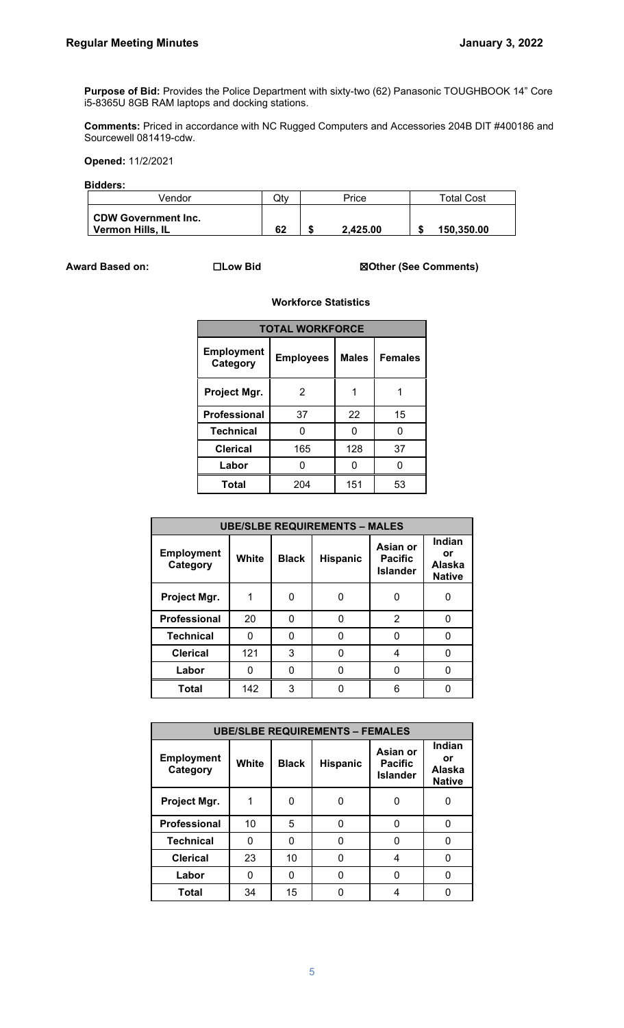**Purpose of Bid:** Provides the Police Department with sixty-two (62) Panasonic TOUGHBOOK 14" Core i5-8365U 8GB RAM laptops and docking stations.

**Comments:** Priced in accordance with NC Rugged Computers and Accessories 204B DIT #400186 and Sourcewell 081419-cdw.

**Opened:** 11/2/2021

#### **Bidders:**

| Vendor                                         | Qtv | Price    | <b>Total Cost</b> |
|------------------------------------------------|-----|----------|-------------------|
| <b>CDW Government Inc.</b><br>Vermon Hills, IL | 62  | 2.425.00 | 150,350,00        |

#### **Award Based on:** ☐**Low Bid** ☒**Other (See Comments)**

#### **Workforce Statistics**

| <b>TOTAL WORKFORCE</b>        |                  |              |                |  |  |  |  |
|-------------------------------|------------------|--------------|----------------|--|--|--|--|
| <b>Employment</b><br>Category | <b>Employees</b> | <b>Males</b> | <b>Females</b> |  |  |  |  |
| Project Mgr.                  | 2                |              |                |  |  |  |  |
| <b>Professional</b>           | 37               | 22           | 15             |  |  |  |  |
| <b>Technical</b>              | O                | n            | 0              |  |  |  |  |
| <b>Clerical</b>               | 165              | 128          | 37             |  |  |  |  |
| Labor                         |                  |              | O              |  |  |  |  |
| Total                         | 204              | 151          | 53             |  |  |  |  |

| <b>UBE/SLBE REQUIREMENTS - MALES</b> |       |              |          |                                               |                                         |  |
|--------------------------------------|-------|--------------|----------|-----------------------------------------------|-----------------------------------------|--|
| <b>Employment</b><br>Category        | White | <b>Black</b> | Hispanic | Asian or<br><b>Pacific</b><br><b>Islander</b> | Indian<br>or<br>Alaska<br><b>Native</b> |  |
| Project Mgr.                         |       | 0            |          | O                                             | 0                                       |  |
| <b>Professional</b>                  | 20    | n            | n        | 2                                             | O                                       |  |
| <b>Technical</b>                     | ∩     | 0            |          |                                               | ŋ                                       |  |
| <b>Clerical</b>                      | 121   | 3            | n        | 4                                             |                                         |  |
| Labor                                | ŋ     | 0            |          |                                               |                                         |  |
| <b>Total</b>                         | 142   | 3            |          | հ                                             |                                         |  |

| <b>UBE/SLBE REQUIREMENTS - FEMALES</b> |       |              |                 |                                               |                                         |  |
|----------------------------------------|-------|--------------|-----------------|-----------------------------------------------|-----------------------------------------|--|
| <b>Employment</b><br>Category          | White | <b>Black</b> | <b>Hispanic</b> | Asian or<br><b>Pacific</b><br><b>Islander</b> | Indian<br>or<br>Alaska<br><b>Native</b> |  |
| Project Mgr.                           |       | 0            |                 |                                               | O                                       |  |
| Professional                           | 10    | 5            | Ω               |                                               |                                         |  |
| <b>Technical</b>                       |       | 0            |                 |                                               |                                         |  |
| <b>Clerical</b>                        | 23    | 10           | 0               |                                               |                                         |  |
| Labor                                  |       | 0            |                 |                                               |                                         |  |
| Total                                  | 34    | 15           |                 |                                               |                                         |  |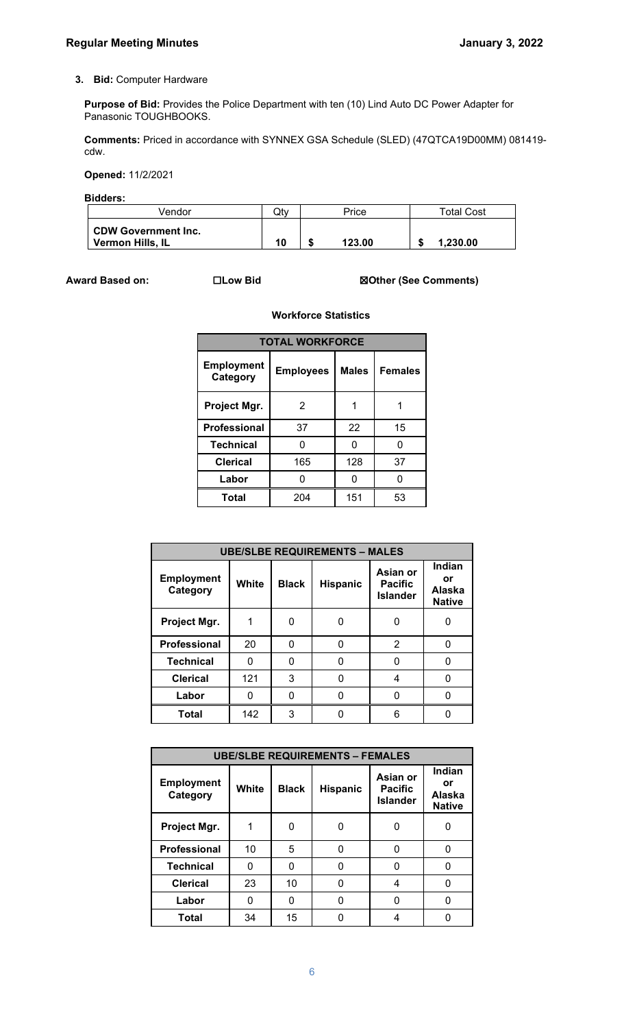#### **3. Bid:** Computer Hardware

**Purpose of Bid:** Provides the Police Department with ten (10) Lind Auto DC Power Adapter for Panasonic TOUGHBOOKS.

**Comments:** Priced in accordance with SYNNEX GSA Schedule (SLED) (47QTCA19D00MM) 081419 cdw.

**Opened:** 11/2/2021

**Bidders:** 

| Vendor                                         | Qty | Price  | <b>Total Cost</b> |
|------------------------------------------------|-----|--------|-------------------|
| <b>CDW Government Inc.</b><br>Vermon Hills, IL | 10  | 123.00 | 1.230.00          |

**Award Based on:** ☐**Low Bid** ☒**Other (See Comments)**

| <b>TOTAL WORKFORCE</b>        |                  |              |                |  |  |  |  |
|-------------------------------|------------------|--------------|----------------|--|--|--|--|
| <b>Employment</b><br>Category | <b>Employees</b> | <b>Males</b> | <b>Females</b> |  |  |  |  |
| Project Mgr.                  | 2                | 1            | 1              |  |  |  |  |
| <b>Professional</b>           | 37               | 22           | 15             |  |  |  |  |
| <b>Technical</b>              | ი                | n            | ი              |  |  |  |  |
| <b>Clerical</b>               | 165              | 128          | 37             |  |  |  |  |
| Labor                         | n                |              | n              |  |  |  |  |
| Total                         | 204              | 151          | 53             |  |  |  |  |

**Workforce Statistics**

| <b>UBE/SLBE REQUIREMENTS - MALES</b> |       |              |                 |                                               |                                         |  |
|--------------------------------------|-------|--------------|-----------------|-----------------------------------------------|-----------------------------------------|--|
| <b>Employment</b><br>Category        | White | <b>Black</b> | <b>Hispanic</b> | Asian or<br><b>Pacific</b><br><b>Islander</b> | Indian<br>or<br>Alaska<br><b>Native</b> |  |
| Project Mgr.                         |       | 0            |                 |                                               |                                         |  |
| <b>Professional</b>                  | 20    | 0            |                 | 2                                             |                                         |  |
| <b>Technical</b>                     | O     | 0            | 0               |                                               |                                         |  |
| <b>Clerical</b>                      | 121   | 3            |                 |                                               |                                         |  |
| Labor                                |       | 0            |                 |                                               |                                         |  |
| <b>Total</b>                         | 142   | 3            |                 | ิค                                            |                                         |  |

| <b>UBE/SLBE REQUIREMENTS - FEMALES</b> |       |              |                 |                                               |                                         |  |  |
|----------------------------------------|-------|--------------|-----------------|-----------------------------------------------|-----------------------------------------|--|--|
| <b>Employment</b><br>Category          | White | <b>Black</b> | <b>Hispanic</b> | Asian or<br><b>Pacific</b><br><b>Islander</b> | Indian<br>or<br>Alaska<br><b>Native</b> |  |  |
| Project Mgr.                           |       | ∩            |                 |                                               | O                                       |  |  |
| <b>Professional</b>                    | 10    | 5            | 0               |                                               |                                         |  |  |
| <b>Technical</b>                       | n     | O            | 0               |                                               |                                         |  |  |
| <b>Clerical</b>                        | 23    | 10           | N               | 4                                             |                                         |  |  |
| Labor                                  | U     | 0            | 0               | O                                             | O                                       |  |  |
| <b>Total</b>                           | 34    | 15           |                 |                                               |                                         |  |  |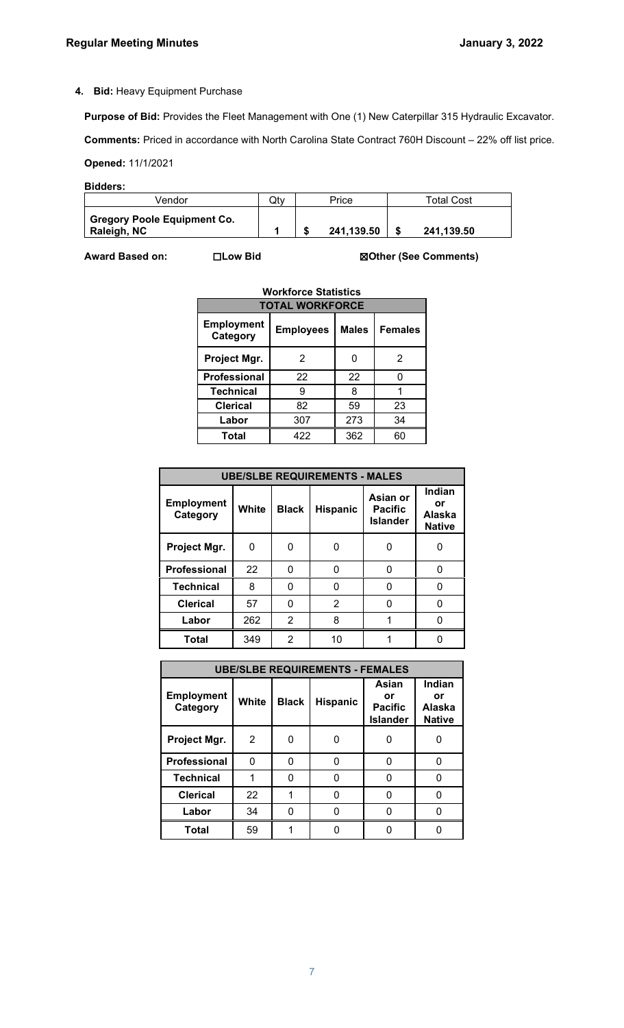### **4. Bid:** Heavy Equipment Purchase

**Purpose of Bid:** Provides the Fleet Management with One (1) New Caterpillar 315 Hydraulic Excavator.

**Comments:** Priced in accordance with North Carolina State Contract 760H Discount – 22% off list price.

**Opened:** 11/1/2021

| Bidders: |
|----------|
|----------|

| Vendor                                            | Otv | Price      | Total Cost |
|---------------------------------------------------|-----|------------|------------|
| <b>Gregory Poole Equipment Co.</b><br>Raleigh, NC |     | 241,139.50 | 241.139.50 |

**Award Based on:** ☐**Low Bid** ☒**Other (See Comments)**

| <b>TOTAL WORKFORCE</b>        |                  |                |    |  |  |  |  |
|-------------------------------|------------------|----------------|----|--|--|--|--|
| <b>Employment</b><br>Category | <b>Employees</b> | <b>Females</b> |    |  |  |  |  |
| Project Mgr.                  | 2                |                | 2  |  |  |  |  |
| <b>Professional</b>           | 22               | 22             | ი  |  |  |  |  |
| <b>Technical</b>              | 9                | 8              |    |  |  |  |  |
| <b>Clerical</b>               | 82               | 59             | 23 |  |  |  |  |
| Labor                         | 307              | 273            | 34 |  |  |  |  |
| <b>Total</b>                  | 422              | 362            | 60 |  |  |  |  |

| <b>UBE/SLBE REQUIREMENTS - MALES</b> |       |              |                 |                                               |                                                |  |  |  |
|--------------------------------------|-------|--------------|-----------------|-----------------------------------------------|------------------------------------------------|--|--|--|
| <b>Employment</b><br>Category        | White | <b>Black</b> | <b>Hispanic</b> | Asian or<br><b>Pacific</b><br><b>Islander</b> | Indian<br>or<br><b>Alaska</b><br><b>Native</b> |  |  |  |
| Project Mgr.                         | 0     | ი            |                 |                                               |                                                |  |  |  |
| <b>Professional</b>                  | 22    | ი            |                 | 0                                             | 0                                              |  |  |  |
| <b>Technical</b>                     | 8     | O            |                 |                                               |                                                |  |  |  |
| <b>Clerical</b>                      | 57    | ი            | 2               |                                               |                                                |  |  |  |
| Labor                                | 262   | 2            | 8               |                                               |                                                |  |  |  |
| <b>Total</b>                         | 349   | 2            | 10              |                                               |                                                |  |  |  |

| <b>UBE/SLBE REQUIREMENTS - FEMALES</b> |                |              |                 |                                                  |                                         |  |  |  |
|----------------------------------------|----------------|--------------|-----------------|--------------------------------------------------|-----------------------------------------|--|--|--|
| <b>Employment</b><br>Category          | White          | <b>Black</b> | <b>Hispanic</b> | Asian<br>or<br><b>Pacific</b><br><b>Islander</b> | Indian<br>or<br>Alaska<br><b>Native</b> |  |  |  |
| Project Mgr.                           | $\overline{2}$ | O            |                 | 0                                                | O                                       |  |  |  |
| <b>Professional</b>                    | 0              | n            |                 | U                                                | O                                       |  |  |  |
| <b>Technical</b>                       |                | ი            |                 | U                                                | O                                       |  |  |  |
| <b>Clerical</b>                        | 22             |              |                 | 0                                                | U                                       |  |  |  |
| Labor                                  | 34             | 0            |                 |                                                  |                                         |  |  |  |
| Total                                  | 59             |              |                 |                                                  |                                         |  |  |  |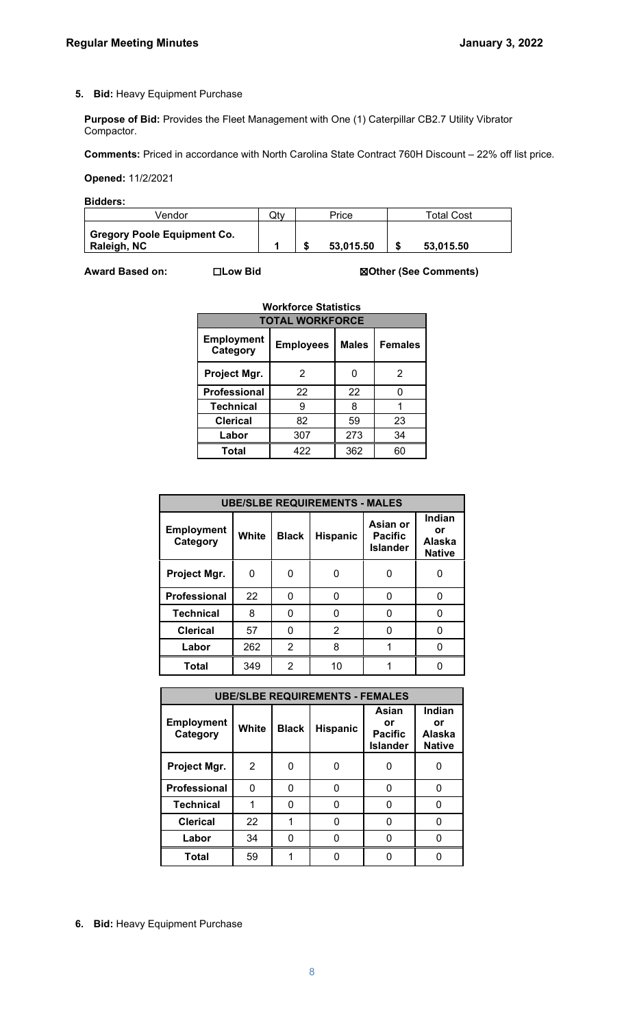#### **5. Bid:** Heavy Equipment Purchase

**Purpose of Bid:** Provides the Fleet Management with One (1) Caterpillar CB2.7 Utility Vibrator Compactor.

**Comments:** Priced in accordance with North Carolina State Contract 760H Discount – 22% off list price.

**Opened:** 11/2/2021

**Bidders:** 

| √endor                                            | Qtv | Price     | Total Cost |
|---------------------------------------------------|-----|-----------|------------|
| <b>Gregory Poole Equipment Co.</b><br>Raleigh, NC |     | 53.015.50 | 53.015.50  |

**Award Based on:** ☐**Low Bid** ☒**Other (See Comments)**

| <b>Workforce Statistics</b>   |                  |              |                |  |  |  |  |
|-------------------------------|------------------|--------------|----------------|--|--|--|--|
| <b>TOTAL WORKFORCE</b>        |                  |              |                |  |  |  |  |
| <b>Employment</b><br>Category | <b>Employees</b> | <b>Males</b> | <b>Females</b> |  |  |  |  |
| Project Mgr.                  | 2                |              | 2              |  |  |  |  |
| <b>Professional</b>           | 22               | 22           | O              |  |  |  |  |
| <b>Technical</b>              | 9                | 8            |                |  |  |  |  |
| <b>Clerical</b>               | 82               | 59           | 23             |  |  |  |  |
| Labor                         | 307              | 273          | 34             |  |  |  |  |
| Total                         | 422              | 362          | 60             |  |  |  |  |
|                               |                  |              |                |  |  |  |  |

| <b>UBE/SLBE REQUIREMENTS - MALES</b> |       |              |                 |                                               |                                         |  |  |  |
|--------------------------------------|-------|--------------|-----------------|-----------------------------------------------|-----------------------------------------|--|--|--|
| <b>Employment</b><br>Category        | White | <b>Black</b> | <b>Hispanic</b> | Asian or<br><b>Pacific</b><br><b>Islander</b> | Indian<br>or<br>Alaska<br><b>Native</b> |  |  |  |
| Project Mgr.                         | 0     | O            |                 | ი                                             | 0                                       |  |  |  |
| <b>Professional</b>                  | 22    | 0            | O               | 0                                             | ŋ                                       |  |  |  |
| <b>Technical</b>                     | 8     | U            |                 | U                                             | O                                       |  |  |  |
| <b>Clerical</b>                      | 57    | 0            | 2               | ŋ                                             | O                                       |  |  |  |
| Labor                                | 262   | 2            | 8               |                                               | n                                       |  |  |  |
| <b>Total</b>                         | 349   | 2            | 10              |                                               |                                         |  |  |  |

| <b>UBE/SLBE REQUIREMENTS - FEMALES</b> |              |              |          |                                                  |                                         |  |  |  |
|----------------------------------------|--------------|--------------|----------|--------------------------------------------------|-----------------------------------------|--|--|--|
| <b>Employment</b><br>Category          | <b>White</b> | <b>Black</b> | Hispanic | Asian<br>or<br><b>Pacific</b><br><b>Islander</b> | Indian<br>or<br>Alaska<br><b>Native</b> |  |  |  |
| Project Mgr.                           | 2            |              |          |                                                  |                                         |  |  |  |
| <b>Professional</b>                    | 0            | 0            |          | 0                                                | 0                                       |  |  |  |
| <b>Technical</b>                       |              | O            |          |                                                  | O                                       |  |  |  |
| <b>Clerical</b>                        | 22           |              |          |                                                  |                                         |  |  |  |
| Labor                                  | 34           |              |          |                                                  |                                         |  |  |  |
| <b>Total</b>                           | 59           |              |          |                                                  |                                         |  |  |  |

**6. Bid:** Heavy Equipment Purchase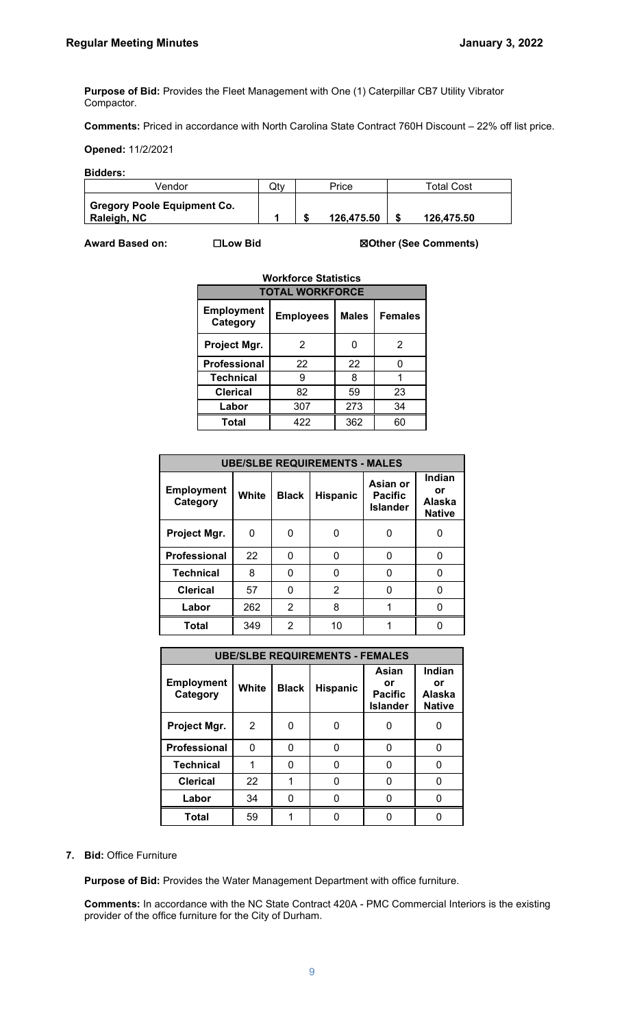**Purpose of Bid:** Provides the Fleet Management with One (1) Caterpillar CB7 Utility Vibrator Compactor.

**Comments:** Priced in accordance with North Carolina State Contract 760H Discount – 22% off list price.

**Opened:** 11/2/2021

**Bidders:** 

| Vendor                                            | Qtv | Price      | Total Cost |
|---------------------------------------------------|-----|------------|------------|
| <b>Gregory Poole Equipment Co.</b><br>Raleigh, NC |     | 126.475.50 | 126.475.50 |

**Award Based on:** ☐**Low Bid** ☒**Other (See Comments)**

| <b>Workforce Statistics</b>   |                  |              |                |  |  |  |  |
|-------------------------------|------------------|--------------|----------------|--|--|--|--|
| <b>TOTAL WORKFORCE</b>        |                  |              |                |  |  |  |  |
| <b>Employment</b><br>Category | <b>Employees</b> | <b>Males</b> | <b>Females</b> |  |  |  |  |
| Project Mgr.                  | 2                |              | 2              |  |  |  |  |
| <b>Professional</b>           | 22               | 22           | ŋ              |  |  |  |  |
| <b>Technical</b>              | 9                | 8            |                |  |  |  |  |
| <b>Clerical</b>               | 82               | 59           | 23             |  |  |  |  |
| Labor                         | 307              | 273          | 34             |  |  |  |  |
| <b>Total</b>                  | 422              | 362          | 60             |  |  |  |  |

| <b>UBE/SLBE REQUIREMENTS - MALES</b> |       |              |                 |                                               |                                         |  |  |  |
|--------------------------------------|-------|--------------|-----------------|-----------------------------------------------|-----------------------------------------|--|--|--|
| <b>Employment</b><br>Category        | White | <b>Black</b> | <b>Hispanic</b> | Asian or<br><b>Pacific</b><br><b>Islander</b> | Indian<br>or<br>Alaska<br><b>Native</b> |  |  |  |
| Project Mgr.                         | 0     |              |                 |                                               |                                         |  |  |  |
| <b>Professional</b>                  | 22    | 0            |                 | ი                                             |                                         |  |  |  |
| <b>Technical</b>                     | 8     | U            |                 |                                               |                                         |  |  |  |
| <b>Clerical</b>                      | 57    | 0            | $\overline{2}$  | ი                                             |                                         |  |  |  |
| Labor                                | 262   | 2            | 8               |                                               |                                         |  |  |  |
| <b>Total</b>                         | 349   | 2            | 10              |                                               |                                         |  |  |  |

| <b>UBE/SLBE REQUIREMENTS - FEMALES</b> |       |              |                 |                                           |                                         |  |  |
|----------------------------------------|-------|--------------|-----------------|-------------------------------------------|-----------------------------------------|--|--|
| <b>Employment</b><br>Category          | White | <b>Black</b> | <b>Hispanic</b> | Asian<br>or<br><b>Pacific</b><br>Islander | Indian<br>or<br>Alaska<br><b>Native</b> |  |  |
| Project Mgr.                           | 2     |              | O               | O                                         |                                         |  |  |
| <b>Professional</b>                    | 0     |              |                 | 0                                         | 0                                       |  |  |
| <b>Technical</b>                       |       |              |                 | O                                         | O                                       |  |  |
| <b>Clerical</b>                        | 22    |              |                 | O                                         |                                         |  |  |
| Labor                                  | 34    |              |                 |                                           |                                         |  |  |
| <b>Total</b>                           | 59    |              |                 |                                           |                                         |  |  |

#### **7. Bid:** Office Furniture

**Purpose of Bid:** Provides the Water Management Department with office furniture.

**Comments:** In accordance with the NC State Contract 420A - PMC Commercial Interiors is the existing provider of the office furniture for the City of Durham.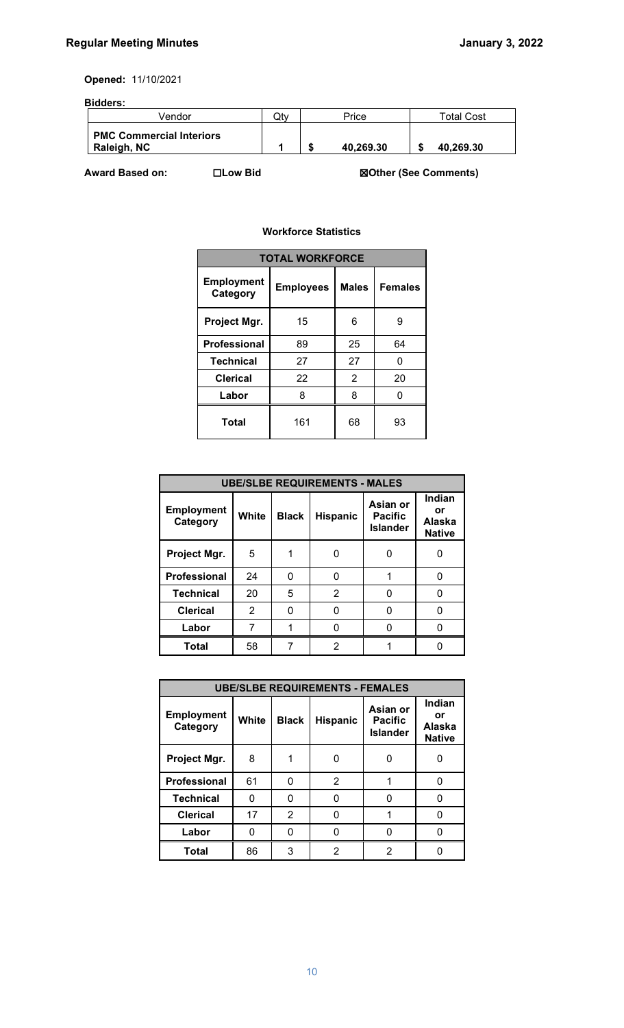**Opened:** 11/10/2021

### **Bidders:**

| Vendor                                         | Qtv | Price     | Total Cost |
|------------------------------------------------|-----|-----------|------------|
| <b>PMC Commercial Interiors</b><br>Raleigh, NC |     | 40.269.30 | 40.269.30  |

**Award Based on:** ☐**Low Bid** ☒**Other (See Comments)**

### **Workforce Statistics**

| <b>TOTAL WORKFORCE</b>        |                  |              |                |  |  |  |
|-------------------------------|------------------|--------------|----------------|--|--|--|
| <b>Employment</b><br>Category | <b>Employees</b> | <b>Males</b> | <b>Females</b> |  |  |  |
| Project Mgr.                  | 15               | 6            | 9              |  |  |  |
| <b>Professional</b>           | 89               | 25           | 64             |  |  |  |
| <b>Technical</b>              | 27               | 27           | 0              |  |  |  |
| <b>Clerical</b>               | 22               | 2            | 20             |  |  |  |
| Labor                         | 8                | 8            | n              |  |  |  |
| Total                         | 161              | 68           | 93             |  |  |  |

| <b>UBE/SLBE REQUIREMENTS - MALES</b> |       |              |                 |                                               |                                         |  |  |
|--------------------------------------|-------|--------------|-----------------|-----------------------------------------------|-----------------------------------------|--|--|
| <b>Employment</b><br>Category        | White | <b>Black</b> | <b>Hispanic</b> | Asian or<br><b>Pacific</b><br><b>Islander</b> | Indian<br>or<br>Alaska<br><b>Native</b> |  |  |
| Project Mgr.                         | 5     |              |                 |                                               |                                         |  |  |
| <b>Professional</b>                  | 24    | 0            |                 |                                               | 0                                       |  |  |
| <b>Technical</b>                     | 20    | 5            | $\mathfrak{p}$  | n                                             |                                         |  |  |
| <b>Clerical</b>                      | 2     | ი            |                 | O                                             | 0                                       |  |  |
| Labor                                | 7     |              |                 |                                               |                                         |  |  |
| <b>Total</b>                         | 58    |              | 2               |                                               |                                         |  |  |

| <b>UBE/SLBE REQUIREMENTS - FEMALES</b> |       |                |                 |                                               |                                         |  |  |
|----------------------------------------|-------|----------------|-----------------|-----------------------------------------------|-----------------------------------------|--|--|
| <b>Employment</b><br>Category          | White | <b>Black</b>   | <b>Hispanic</b> | Asian or<br><b>Pacific</b><br><b>Islander</b> | Indian<br>or<br>Alaska<br><b>Native</b> |  |  |
| Project Mgr.                           | 8     |                |                 | 0                                             |                                         |  |  |
| Professional                           | 61    | 0              | 2               | 1                                             | O                                       |  |  |
| <b>Technical</b>                       | 0     | 0              |                 | O                                             | O                                       |  |  |
| <b>Clerical</b>                        | 17    | $\overline{2}$ | n               |                                               | U                                       |  |  |
| Labor                                  | n     | U              |                 | n                                             | n                                       |  |  |
| <b>Total</b>                           | 86    | 3              | 2               | 2                                             |                                         |  |  |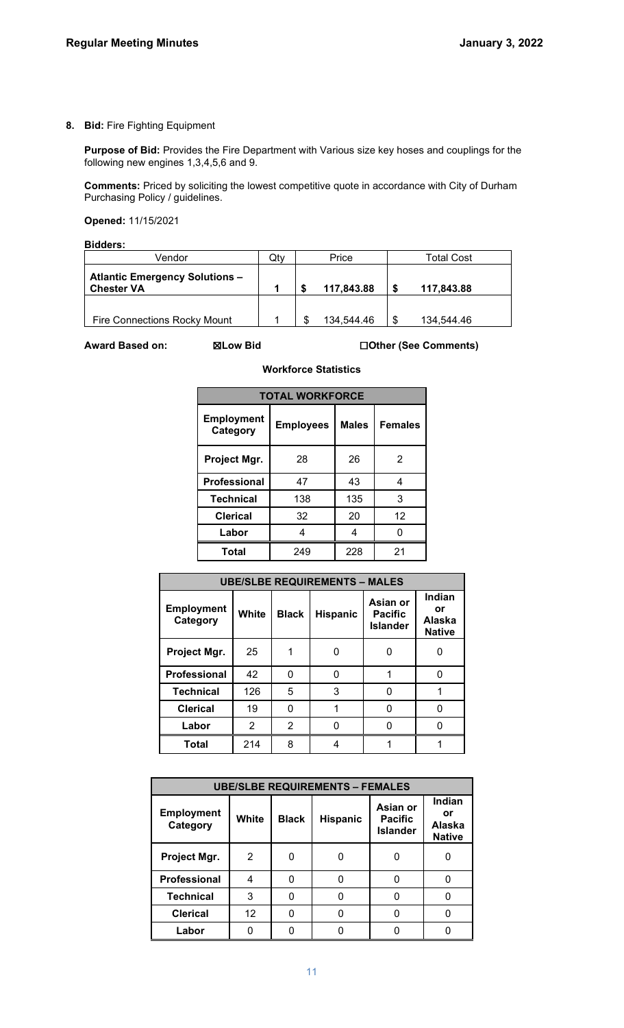**8. Bid:** Fire Fighting Equipment

**Purpose of Bid:** Provides the Fire Department with Various size key hoses and couplings for the following new engines 1,3,4,5,6 and 9.

**Comments:** Priced by soliciting the lowest competitive quote in accordance with City of Durham Purchasing Policy / guidelines.

**Opened:** 11/15/2021

**Bidders:** 

| Vendor                                                     | Qtv |   | Price      |    | Total Cost |
|------------------------------------------------------------|-----|---|------------|----|------------|
| <b>Atlantic Emergency Solutions -</b><br><b>Chester VA</b> |     |   | 117,843.88 | S  | 117,843.88 |
|                                                            |     |   |            |    |            |
| <b>Fire Connections Rocky Mount</b>                        |     | S | 134,544.46 | \$ | 134.544.46 |

**Award Based on:** ☒**Low Bid** ☐**Other (See Comments)**

| <b>Workforce Statistics</b> |  |
|-----------------------------|--|
|-----------------------------|--|

| <b>TOTAL WORKFORCE</b>        |                  |              |                |  |  |  |
|-------------------------------|------------------|--------------|----------------|--|--|--|
| <b>Employment</b><br>Category | <b>Employees</b> | <b>Males</b> | <b>Females</b> |  |  |  |
| Project Mgr.                  | 28               | 26           | 2              |  |  |  |
| Professional                  | 47               | 43           | 4              |  |  |  |
| <b>Technical</b>              | 138              | 135          | 3              |  |  |  |
| <b>Clerical</b>               | 32               | 20           | 12             |  |  |  |
| Labor                         | 4                | 4            |                |  |  |  |
| <b>Total</b>                  | 249              | 228          | 21             |  |  |  |

| <b>UBE/SLBE REQUIREMENTS - MALES</b> |       |              |                 |                                               |                                         |  |  |
|--------------------------------------|-------|--------------|-----------------|-----------------------------------------------|-----------------------------------------|--|--|
| <b>Employment</b><br>Category        | White | <b>Black</b> | <b>Hispanic</b> | Asian or<br><b>Pacific</b><br><b>Islander</b> | Indian<br>or<br>Alaska<br><b>Native</b> |  |  |
| Project Mgr.                         | 25    |              |                 |                                               |                                         |  |  |
| Professional                         | 42    | 0            |                 |                                               |                                         |  |  |
| <b>Technical</b>                     | 126   | 5            | 3               |                                               |                                         |  |  |
| <b>Clerical</b>                      | 19    | 0            |                 |                                               | O                                       |  |  |
| Labor                                | 2     | 2            |                 |                                               |                                         |  |  |
| <b>Total</b>                         | 214   | 8            |                 |                                               |                                         |  |  |

| <b>UBE/SLBE REQUIREMENTS - FEMALES</b> |                   |              |                 |                                               |                                         |  |
|----------------------------------------|-------------------|--------------|-----------------|-----------------------------------------------|-----------------------------------------|--|
| <b>Employment</b><br>Category          | White             | <b>Black</b> | <b>Hispanic</b> | Asian or<br><b>Pacific</b><br><b>Islander</b> | Indian<br>or<br>Alaska<br><b>Native</b> |  |
| Project Mgr.                           | 2                 | O            |                 |                                               |                                         |  |
| Professional                           |                   | O            | U               |                                               |                                         |  |
| <b>Technical</b>                       | 3                 | O            |                 |                                               |                                         |  |
| <b>Clerical</b>                        | $12 \overline{ }$ | O            |                 |                                               |                                         |  |
| Labor                                  |                   |              |                 |                                               |                                         |  |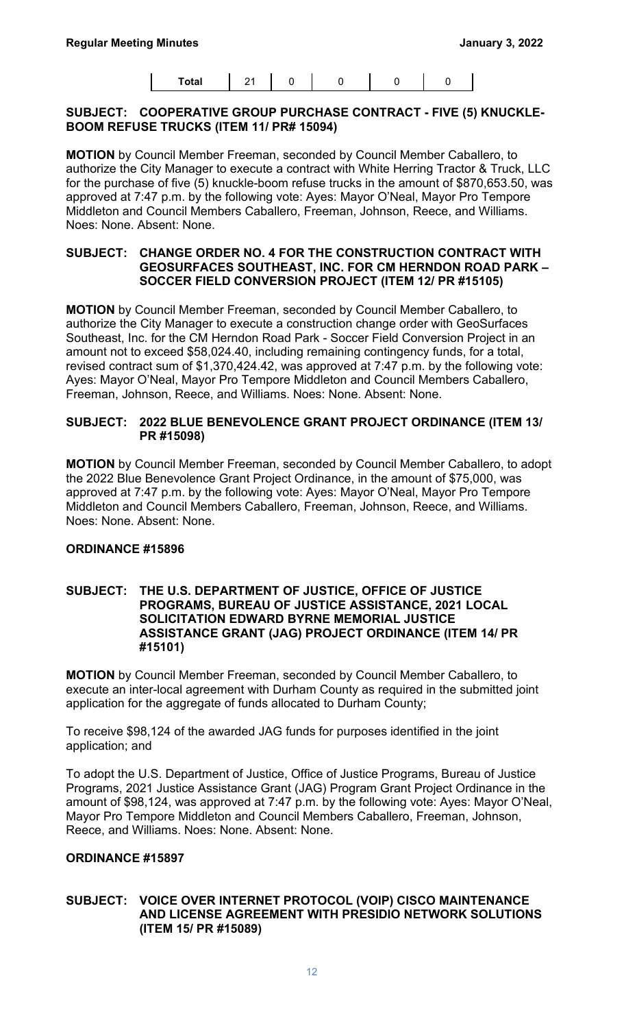| <b>Total</b> | $\sim$ |  |  |  |  |  |
|--------------|--------|--|--|--|--|--|
|--------------|--------|--|--|--|--|--|

#### **SUBJECT: COOPERATIVE GROUP PURCHASE CONTRACT - FIVE (5) KNUCKLE-BOOM REFUSE TRUCKS (ITEM 11/ PR# 15094)**

**MOTION** by Council Member Freeman, seconded by Council Member Caballero, to authorize the City Manager to execute a contract with White Herring Tractor & Truck, LLC for the purchase of five (5) knuckle-boom refuse trucks in the amount of \$870,653.50, was approved at 7:47 p.m. by the following vote: Ayes: Mayor O'Neal, Mayor Pro Tempore Middleton and Council Members Caballero, Freeman, Johnson, Reece, and Williams. Noes: None. Absent: None.

#### **SUBJECT: CHANGE ORDER NO. 4 FOR THE CONSTRUCTION CONTRACT WITH GEOSURFACES SOUTHEAST, INC. FOR CM HERNDON ROAD PARK – SOCCER FIELD CONVERSION PROJECT (ITEM 12/ PR #15105)**

**MOTION** by Council Member Freeman, seconded by Council Member Caballero, to authorize the City Manager to execute a construction change order with GeoSurfaces Southeast, Inc. for the CM Herndon Road Park - Soccer Field Conversion Project in an amount not to exceed \$58,024.40, including remaining contingency funds, for a total, revised contract sum of \$1,370,424.42, was approved at 7:47 p.m. by the following vote: Ayes: Mayor O'Neal, Mayor Pro Tempore Middleton and Council Members Caballero, Freeman, Johnson, Reece, and Williams. Noes: None. Absent: None.

### **SUBJECT: 2022 BLUE BENEVOLENCE GRANT PROJECT ORDINANCE (ITEM 13/ PR #15098)**

**MOTION** by Council Member Freeman, seconded by Council Member Caballero, to adopt the 2022 Blue Benevolence Grant Project Ordinance, in the amount of \$75,000, was approved at 7:47 p.m. by the following vote: Ayes: Mayor O'Neal, Mayor Pro Tempore Middleton and Council Members Caballero, Freeman, Johnson, Reece, and Williams. Noes: None. Absent: None.

# **ORDINANCE #15896**

#### **SUBJECT: THE U.S. DEPARTMENT OF JUSTICE, OFFICE OF JUSTICE PROGRAMS, BUREAU OF JUSTICE ASSISTANCE, 2021 LOCAL SOLICITATION EDWARD BYRNE MEMORIAL JUSTICE ASSISTANCE GRANT (JAG) PROJECT ORDINANCE (ITEM 14/ PR #15101)**

**MOTION** by Council Member Freeman, seconded by Council Member Caballero, to execute an inter-local agreement with Durham County as required in the submitted joint application for the aggregate of funds allocated to Durham County;

To receive \$98,124 of the awarded JAG funds for purposes identified in the joint application; and

To adopt the U.S. Department of Justice, Office of Justice Programs, Bureau of Justice Programs, 2021 Justice Assistance Grant (JAG) Program Grant Project Ordinance in the amount of \$98,124, was approved at 7:47 p.m. by the following vote: Ayes: Mayor O'Neal, Mayor Pro Tempore Middleton and Council Members Caballero, Freeman, Johnson, Reece, and Williams. Noes: None. Absent: None.

# **ORDINANCE #15897**

#### **SUBJECT: VOICE OVER INTERNET PROTOCOL (VOIP) CISCO MAINTENANCE AND LICENSE AGREEMENT WITH PRESIDIO NETWORK SOLUTIONS (ITEM 15/ PR #15089)**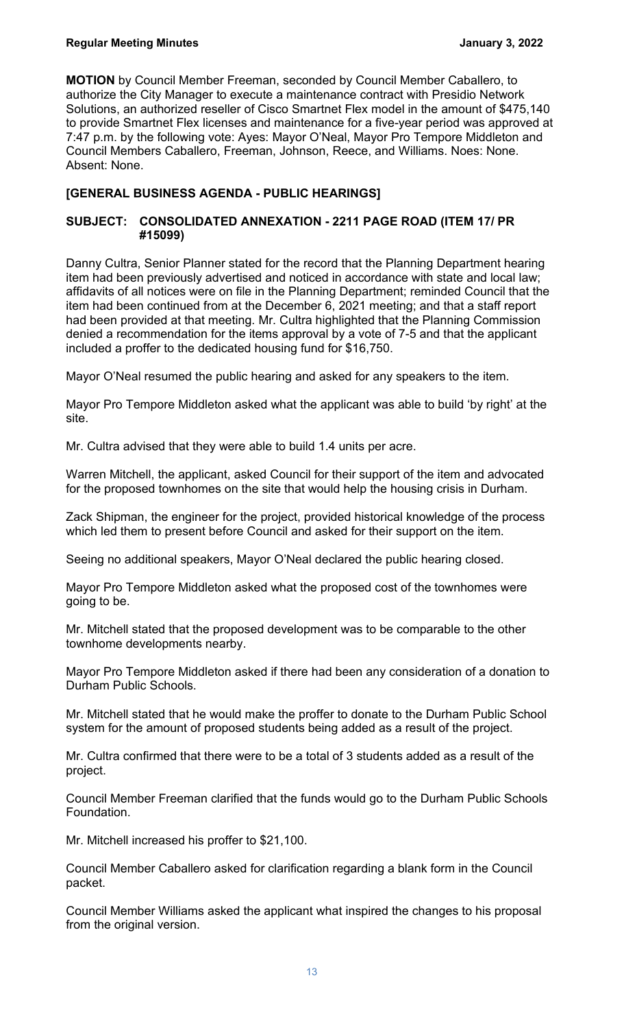**MOTION** by Council Member Freeman, seconded by Council Member Caballero, to authorize the City Manager to execute a maintenance contract with Presidio Network Solutions, an authorized reseller of Cisco Smartnet Flex model in the amount of \$475,140 to provide Smartnet Flex licenses and maintenance for a five-year period was approved at 7:47 p.m. by the following vote: Ayes: Mayor O'Neal, Mayor Pro Tempore Middleton and Council Members Caballero, Freeman, Johnson, Reece, and Williams. Noes: None. Absent: None.

# **[GENERAL BUSINESS AGENDA - PUBLIC HEARINGS]**

## **SUBJECT: CONSOLIDATED ANNEXATION - 2211 PAGE ROAD (ITEM 17/ PR #15099)**

Danny Cultra, Senior Planner stated for the record that the Planning Department hearing item had been previously advertised and noticed in accordance with state and local law; affidavits of all notices were on file in the Planning Department; reminded Council that the item had been continued from at the December 6, 2021 meeting; and that a staff report had been provided at that meeting. Mr. Cultra highlighted that the Planning Commission denied a recommendation for the items approval by a vote of 7-5 and that the applicant included a proffer to the dedicated housing fund for \$16,750.

Mayor O'Neal resumed the public hearing and asked for any speakers to the item.

Mayor Pro Tempore Middleton asked what the applicant was able to build 'by right' at the site.

Mr. Cultra advised that they were able to build 1.4 units per acre.

Warren Mitchell, the applicant, asked Council for their support of the item and advocated for the proposed townhomes on the site that would help the housing crisis in Durham.

Zack Shipman, the engineer for the project, provided historical knowledge of the process which led them to present before Council and asked for their support on the item.

Seeing no additional speakers, Mayor O'Neal declared the public hearing closed.

Mayor Pro Tempore Middleton asked what the proposed cost of the townhomes were going to be.

Mr. Mitchell stated that the proposed development was to be comparable to the other townhome developments nearby.

Mayor Pro Tempore Middleton asked if there had been any consideration of a donation to Durham Public Schools.

Mr. Mitchell stated that he would make the proffer to donate to the Durham Public School system for the amount of proposed students being added as a result of the project.

Mr. Cultra confirmed that there were to be a total of 3 students added as a result of the project.

Council Member Freeman clarified that the funds would go to the Durham Public Schools Foundation.

Mr. Mitchell increased his proffer to \$21,100.

Council Member Caballero asked for clarification regarding a blank form in the Council packet.

Council Member Williams asked the applicant what inspired the changes to his proposal from the original version.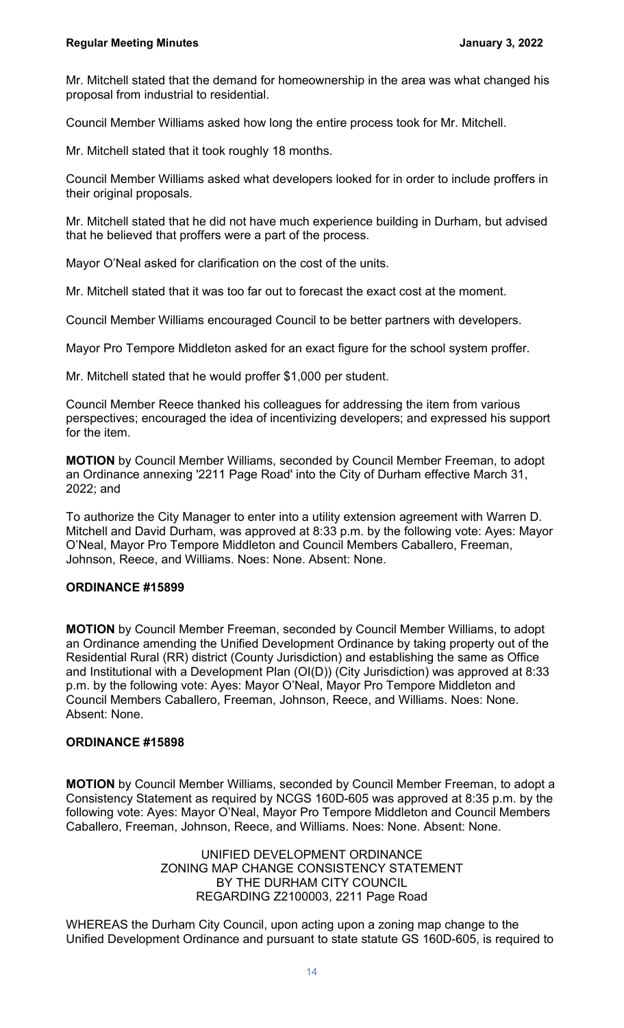Mr. Mitchell stated that the demand for homeownership in the area was what changed his proposal from industrial to residential.

Council Member Williams asked how long the entire process took for Mr. Mitchell.

Mr. Mitchell stated that it took roughly 18 months.

Council Member Williams asked what developers looked for in order to include proffers in their original proposals.

Mr. Mitchell stated that he did not have much experience building in Durham, but advised that he believed that proffers were a part of the process.

Mayor O'Neal asked for clarification on the cost of the units.

Mr. Mitchell stated that it was too far out to forecast the exact cost at the moment.

Council Member Williams encouraged Council to be better partners with developers.

Mayor Pro Tempore Middleton asked for an exact figure for the school system proffer.

Mr. Mitchell stated that he would proffer \$1,000 per student.

Council Member Reece thanked his colleagues for addressing the item from various perspectives; encouraged the idea of incentivizing developers; and expressed his support for the item.

**MOTION** by Council Member Williams, seconded by Council Member Freeman, to adopt an Ordinance annexing '2211 Page Road' into the City of Durham effective March 31, 2022; and

To authorize the City Manager to enter into a utility extension agreement with Warren D. Mitchell and David Durham, was approved at 8:33 p.m. by the following vote: Ayes: Mayor O'Neal, Mayor Pro Tempore Middleton and Council Members Caballero, Freeman, Johnson, Reece, and Williams. Noes: None. Absent: None.

### **ORDINANCE #15899**

**MOTION** by Council Member Freeman, seconded by Council Member Williams, to adopt an Ordinance amending the Unified Development Ordinance by taking property out of the Residential Rural (RR) district (County Jurisdiction) and establishing the same as Office and Institutional with a Development Plan (OI(D)) (City Jurisdiction) was approved at 8:33 p.m. by the following vote: Ayes: Mayor O'Neal, Mayor Pro Tempore Middleton and Council Members Caballero, Freeman, Johnson, Reece, and Williams. Noes: None. Absent: None.

#### **ORDINANCE #15898**

**MOTION** by Council Member Williams, seconded by Council Member Freeman, to adopt a Consistency Statement as required by NCGS 160D-605 was approved at 8:35 p.m. by the following vote: Ayes: Mayor O'Neal, Mayor Pro Tempore Middleton and Council Members Caballero, Freeman, Johnson, Reece, and Williams. Noes: None. Absent: None.

> UNIFIED DEVELOPMENT ORDINANCE ZONING MAP CHANGE CONSISTENCY STATEMENT BY THE DURHAM CITY COUNCIL REGARDING Z2100003, 2211 Page Road

WHEREAS the Durham City Council, upon acting upon a zoning map change to the Unified Development Ordinance and pursuant to state statute GS 160D-605, is required to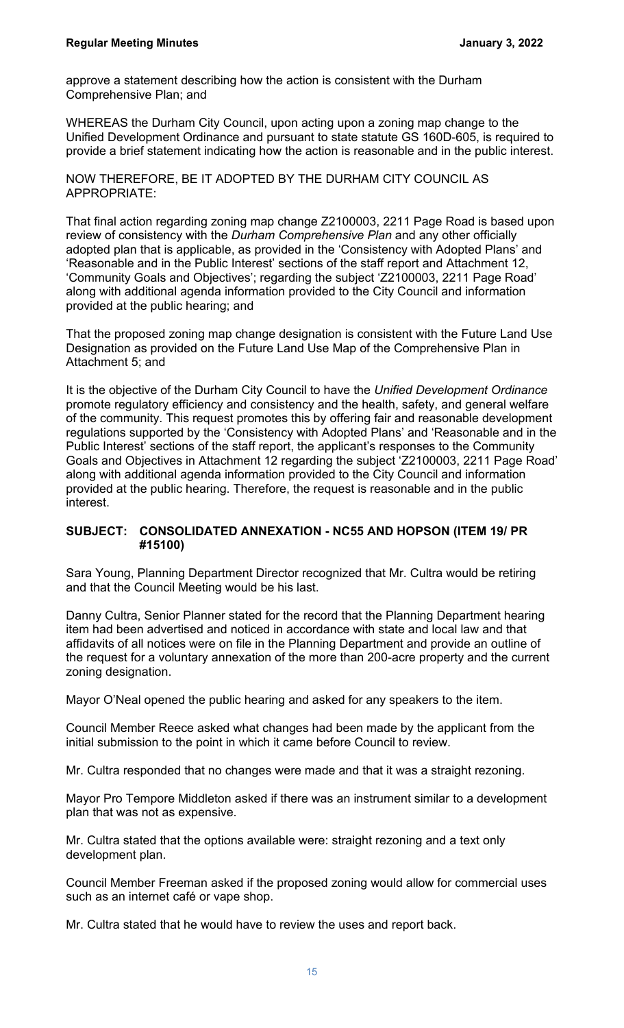approve a statement describing how the action is consistent with the Durham Comprehensive Plan; and

WHEREAS the Durham City Council, upon acting upon a zoning map change to the Unified Development Ordinance and pursuant to state statute GS 160D-605, is required to provide a brief statement indicating how the action is reasonable and in the public interest.

NOW THEREFORE, BE IT ADOPTED BY THE DURHAM CITY COUNCIL AS APPROPRIATE:

That final action regarding zoning map change Z2100003, 2211 Page Road is based upon review of consistency with the *Durham Comprehensive Plan* and any other officially adopted plan that is applicable, as provided in the 'Consistency with Adopted Plans' and 'Reasonable and in the Public Interest' sections of the staff report and Attachment 12, 'Community Goals and Objectives'; regarding the subject 'Z2100003, 2211 Page Road' along with additional agenda information provided to the City Council and information provided at the public hearing; and

That the proposed zoning map change designation is consistent with the Future Land Use Designation as provided on the Future Land Use Map of the Comprehensive Plan in Attachment 5; and

It is the objective of the Durham City Council to have the *Unified Development Ordinance* promote regulatory efficiency and consistency and the health, safety, and general welfare of the community. This request promotes this by offering fair and reasonable development regulations supported by the 'Consistency with Adopted Plans' and 'Reasonable and in the Public Interest' sections of the staff report, the applicant's responses to the Community Goals and Objectives in Attachment 12 regarding the subject 'Z2100003, 2211 Page Road' along with additional agenda information provided to the City Council and information provided at the public hearing. Therefore, the request is reasonable and in the public interest.

### **SUBJECT: CONSOLIDATED ANNEXATION - NC55 AND HOPSON (ITEM 19/ PR #15100)**

Sara Young, Planning Department Director recognized that Mr. Cultra would be retiring and that the Council Meeting would be his last.

Danny Cultra, Senior Planner stated for the record that the Planning Department hearing item had been advertised and noticed in accordance with state and local law and that affidavits of all notices were on file in the Planning Department and provide an outline of the request for a voluntary annexation of the more than 200-acre property and the current zoning designation.

Mayor O'Neal opened the public hearing and asked for any speakers to the item.

Council Member Reece asked what changes had been made by the applicant from the initial submission to the point in which it came before Council to review.

Mr. Cultra responded that no changes were made and that it was a straight rezoning.

Mayor Pro Tempore Middleton asked if there was an instrument similar to a development plan that was not as expensive.

Mr. Cultra stated that the options available were: straight rezoning and a text only development plan.

Council Member Freeman asked if the proposed zoning would allow for commercial uses such as an internet café or vape shop.

Mr. Cultra stated that he would have to review the uses and report back.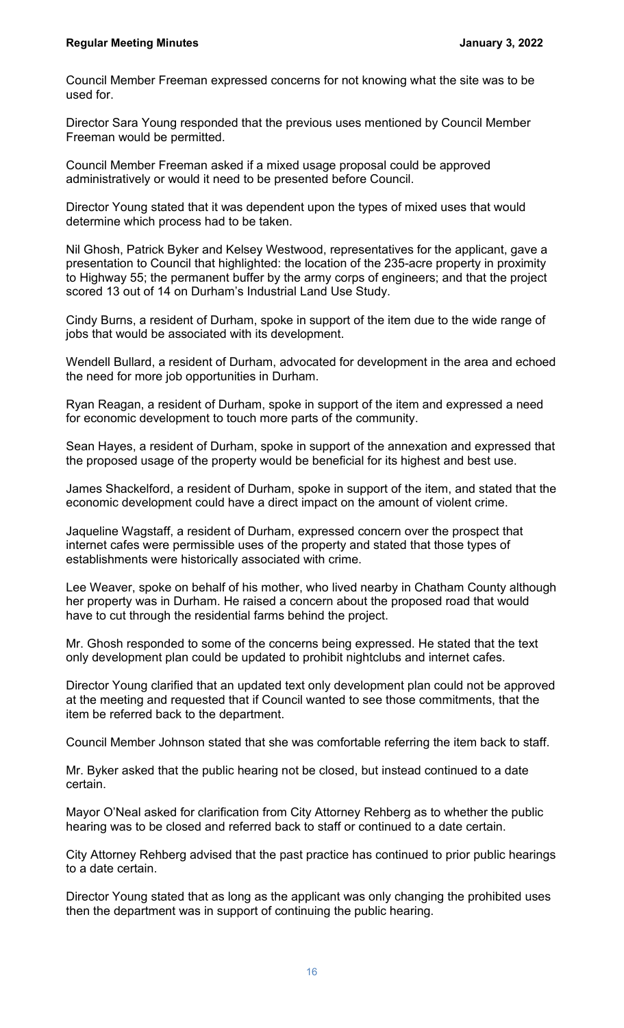Council Member Freeman expressed concerns for not knowing what the site was to be used for.

Director Sara Young responded that the previous uses mentioned by Council Member Freeman would be permitted.

Council Member Freeman asked if a mixed usage proposal could be approved administratively or would it need to be presented before Council.

Director Young stated that it was dependent upon the types of mixed uses that would determine which process had to be taken.

Nil Ghosh, Patrick Byker and Kelsey Westwood, representatives for the applicant, gave a presentation to Council that highlighted: the location of the 235-acre property in proximity to Highway 55; the permanent buffer by the army corps of engineers; and that the project scored 13 out of 14 on Durham's Industrial Land Use Study.

Cindy Burns, a resident of Durham, spoke in support of the item due to the wide range of jobs that would be associated with its development.

Wendell Bullard, a resident of Durham, advocated for development in the area and echoed the need for more job opportunities in Durham.

Ryan Reagan, a resident of Durham, spoke in support of the item and expressed a need for economic development to touch more parts of the community.

Sean Hayes, a resident of Durham, spoke in support of the annexation and expressed that the proposed usage of the property would be beneficial for its highest and best use.

James Shackelford, a resident of Durham, spoke in support of the item, and stated that the economic development could have a direct impact on the amount of violent crime.

Jaqueline Wagstaff, a resident of Durham, expressed concern over the prospect that internet cafes were permissible uses of the property and stated that those types of establishments were historically associated with crime.

Lee Weaver, spoke on behalf of his mother, who lived nearby in Chatham County although her property was in Durham. He raised a concern about the proposed road that would have to cut through the residential farms behind the project.

Mr. Ghosh responded to some of the concerns being expressed. He stated that the text only development plan could be updated to prohibit nightclubs and internet cafes.

Director Young clarified that an updated text only development plan could not be approved at the meeting and requested that if Council wanted to see those commitments, that the item be referred back to the department.

Council Member Johnson stated that she was comfortable referring the item back to staff.

Mr. Byker asked that the public hearing not be closed, but instead continued to a date certain.

Mayor O'Neal asked for clarification from City Attorney Rehberg as to whether the public hearing was to be closed and referred back to staff or continued to a date certain.

City Attorney Rehberg advised that the past practice has continued to prior public hearings to a date certain.

Director Young stated that as long as the applicant was only changing the prohibited uses then the department was in support of continuing the public hearing.